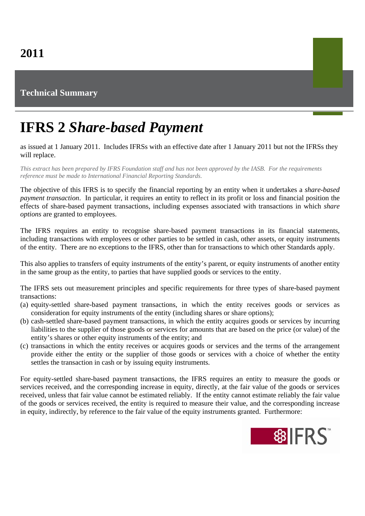## **Technical Summary**

## **IFRS 2** *Share-based Payment*

as issued at 1 January 2011. Includes IFRSs with an effective date after 1 January 2011 but not the IFRSs they will replace.

*This extract has been prepared by IFRS Foundation staff and has not been approved by the IASB. For the requirements reference must be made to International Financial Reporting Standards.*

The objective of this IFRS is to specify the financial reporting by an entity when it undertakes a *share-based payment transaction*. In particular, it requires an entity to reflect in its profit or loss and financial position the effects of share-based payment transactions, including expenses associated with transactions in which *share options* are granted to employees.

The IFRS requires an entity to recognise share-based payment transactions in its financial statements, including transactions with employees or other parties to be settled in cash, other assets, or equity instruments of the entity. There are no exceptions to the IFRS, other than for transactions to which other Standards apply.

This also applies to transfers of equity instruments of the entity's parent, or equity instruments of another entity in the same group as the entity, to parties that have supplied goods or services to the entity.

The IFRS sets out measurement principles and specific requirements for three types of share-based payment transactions:

- (a) equity-settled share-based payment transactions, in which the entity receives goods or services as consideration for equity instruments of the entity (including shares or share options);
- (b) cash-settled share-based payment transactions, in which the entity acquires goods or services by incurring liabilities to the supplier of those goods or services for amounts that are based on the price (or value) of the entity's shares or other equity instruments of the entity; and
- (c) transactions in which the entity receives or acquires goods or services and the terms of the arrangement provide either the entity or the supplier of those goods or services with a choice of whether the entity settles the transaction in cash or by issuing equity instruments.

For equity-settled share-based payment transactions, the IFRS requires an entity to measure the goods or services received, and the corresponding increase in equity, directly, at the fair value of the goods or services received, unless that fair value cannot be estimated reliably. If the entity cannot estimate reliably the fair value of the goods or services received, the entity is required to measure their value, and the corresponding increase in equity, indirectly, by reference to the fair value of the equity instruments granted. Furthermore:

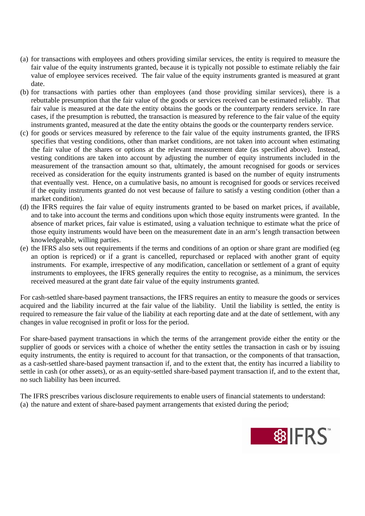- (a) for transactions with employees and others providing similar services, the entity is required to measure the fair value of the equity instruments granted, because it is typically not possible to estimate reliably the fair value of employee services received. The fair value of the equity instruments granted is measured at grant date.
- (b) for transactions with parties other than employees (and those providing similar services), there is a rebuttable presumption that the fair value of the goods or services received can be estimated reliably. That fair value is measured at the date the entity obtains the goods or the counterparty renders service. In rare cases, if the presumption is rebutted, the transaction is measured by reference to the fair value of the equity instruments granted, measured at the date the entity obtains the goods or the counterparty renders service.
- (c) for goods or services measured by reference to the fair value of the equity instruments granted, the IFRS specifies that vesting conditions, other than market conditions, are not taken into account when estimating the fair value of the shares or options at the relevant measurement date (as specified above). Instead, vesting conditions are taken into account by adjusting the number of equity instruments included in the measurement of the transaction amount so that, ultimately, the amount recognised for goods or services received as consideration for the equity instruments granted is based on the number of equity instruments that eventually vest. Hence, on a cumulative basis, no amount is recognised for goods or services received if the equity instruments granted do not vest because of failure to satisfy a vesting condition (other than a market condition).
- (d) the IFRS requires the fair value of equity instruments granted to be based on market prices, if available, and to take into account the terms and conditions upon which those equity instruments were granted. In the absence of market prices, fair value is estimated, using a valuation technique to estimate what the price of those equity instruments would have been on the measurement date in an arm's length transaction between knowledgeable, willing parties.
- (e) the IFRS also sets out requirements if the terms and conditions of an option or share grant are modified (eg an option is repriced) or if a grant is cancelled, repurchased or replaced with another grant of equity instruments. For example, irrespective of any modification, cancellation or settlement of a grant of equity instruments to employees, the IFRS generally requires the entity to recognise, as a minimum, the services received measured at the grant date fair value of the equity instruments granted.

For cash-settled share-based payment transactions, the IFRS requires an entity to measure the goods or services acquired and the liability incurred at the fair value of the liability. Until the liability is settled, the entity is required to remeasure the fair value of the liability at each reporting date and at the date of settlement, with any changes in value recognised in profit or loss for the period.

For share-based payment transactions in which the terms of the arrangement provide either the entity or the supplier of goods or services with a choice of whether the entity settles the transaction in cash or by issuing equity instruments, the entity is required to account for that transaction, or the components of that transaction, as a cash-settled share-based payment transaction if, and to the extent that, the entity has incurred a liability to settle in cash (or other assets), or as an equity-settled share-based payment transaction if, and to the extent that, no such liability has been incurred.

The IFRS prescribes various disclosure requirements to enable users of financial statements to understand: (a) the nature and extent of share-based payment arrangements that existed during the period;